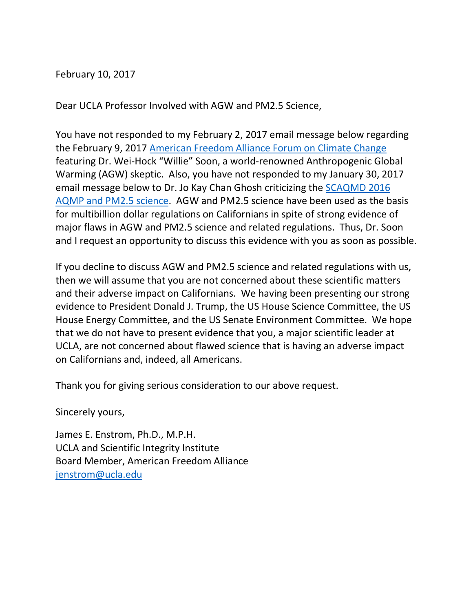## February 10, 2017

Dear UCLA Professor Involved with AGW and PM2.5 Science,

You have not responded to my February 2, 2017 email message below regarding the February 9, 2017 [American Freedom Alliance Forum on Climate Change](http://www.americanfreedomalliance.org/eventsburningup.jsp) featuring Dr. Wei-Hock "Willie" Soon, a world-renowned Anthropogenic Global Warming (AGW) skeptic. Also, you have not responded to my January 30, 2017 email message below to Dr. Jo Kay Chan Ghosh criticizing the [SCAQMD 2016](http://www.scientificintegrityinstitute.org/AQMPJEE081516.pdf)  [AQMP and PM2.5 science.](http://www.scientificintegrityinstitute.org/AQMPJEE081516.pdf) AGW and PM2.5 science have been used as the basis for multibillion dollar regulations on Californians in spite of strong evidence of major flaws in AGW and PM2.5 science and related regulations. Thus, Dr. Soon and I request an opportunity to discuss this evidence with you as soon as possible.

If you decline to discuss AGW and PM2.5 science and related regulations with us, then we will assume that you are not concerned about these scientific matters and their adverse impact on Californians. We having been presenting our strong evidence to President Donald J. Trump, the US House Science Committee, the US House Energy Committee, and the US Senate Environment Committee. We hope that we do not have to present evidence that you, a major scientific leader at UCLA, are not concerned about flawed science that is having an adverse impact on Californians and, indeed, all Americans.

Thank you for giving serious consideration to our above request.

Sincerely yours,

James E. Enstrom, Ph.D., M.P.H. UCLA and Scientific Integrity Institute Board Member, American Freedom Alliance [jenstrom@ucla.edu](mailto:jenstrom@ucla.edu)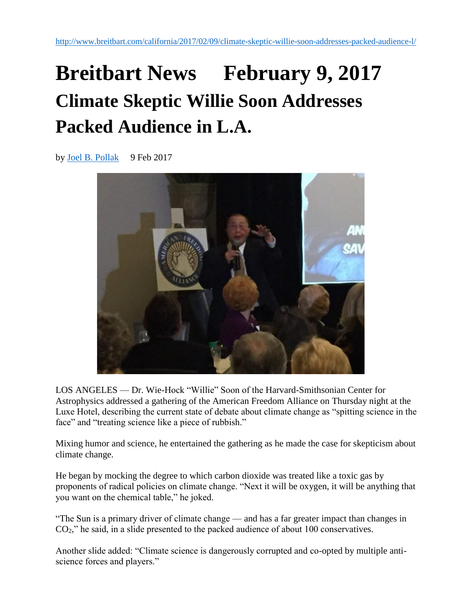## **Breitbart News February 9, 2017 Climate Skeptic Willie Soon Addresses Packed Audience in L.A.**

by [Joel B. Pollak](http://www.breitbart.com/author/joel-b-pollak/) 9 Feb 2017



LOS ANGELES — Dr. Wie-Hock "Willie" Soon of the Harvard-Smithsonian Center for Astrophysics addressed a gathering of the American Freedom Alliance on Thursday night at the Luxe Hotel, describing the current state of debate about climate change as "spitting science in the face" and "treating science like a piece of rubbish."

Mixing humor and science, he entertained the gathering as he made the case for skepticism about climate change.

He began by mocking the degree to which carbon dioxide was treated like a toxic gas by proponents of radical policies on climate change. "Next it will be oxygen, it will be anything that you want on the chemical table," he joked.

"The Sun is a primary driver of climate change — and has a far greater impact than changes in CO2," he said, in a slide presented to the packed audience of about 100 conservatives.

Another slide added: "Climate science is dangerously corrupted and co-opted by multiple antiscience forces and players."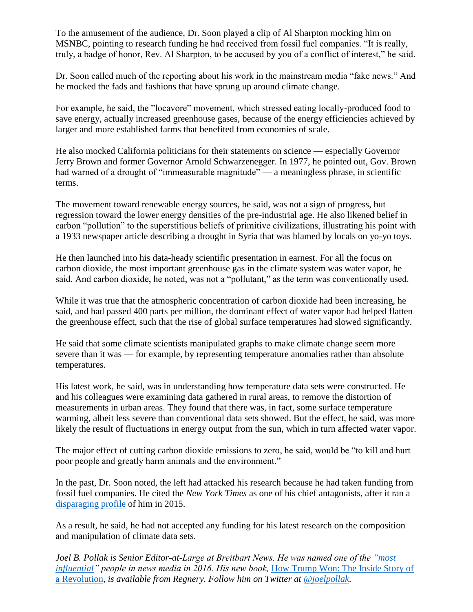To the amusement of the audience, Dr. Soon played a clip of Al Sharpton mocking him on MSNBC, pointing to research funding he had received from fossil fuel companies. "It is really, truly, a badge of honor, Rev. Al Sharpton, to be accused by you of a conflict of interest," he said.

Dr. Soon called much of the reporting about his work in the mainstream media "fake news." And he mocked the fads and fashions that have sprung up around climate change.

For example, he said, the "locavore" movement, which stressed eating locally-produced food to save energy, actually increased greenhouse gases, because of the energy efficiencies achieved by larger and more established farms that benefited from economies of scale.

He also mocked California politicians for their statements on science — especially Governor Jerry Brown and former Governor Arnold Schwarzenegger. In 1977, he pointed out, Gov. Brown had warned of a drought of "immeasurable magnitude" — a meaningless phrase, in scientific terms.

The movement toward renewable energy sources, he said, was not a sign of progress, but regression toward the lower energy densities of the pre-industrial age. He also likened belief in carbon "pollution" to the superstitious beliefs of primitive civilizations, illustrating his point with a 1933 newspaper article describing a drought in Syria that was blamed by locals on yo-yo toys.

He then launched into his data-heady scientific presentation in earnest. For all the focus on carbon dioxide, the most important greenhouse gas in the climate system was water vapor, he said. And carbon dioxide, he noted, was not a "pollutant," as the term was conventionally used.

While it was true that the atmospheric concentration of carbon dioxide had been increasing, he said, and had passed 400 parts per million, the dominant effect of water vapor had helped flatten the greenhouse effect, such that the rise of global surface temperatures had slowed significantly.

He said that some climate scientists manipulated graphs to make climate change seem more severe than it was — for example, by representing temperature anomalies rather than absolute temperatures.

His latest work, he said, was in understanding how temperature data sets were constructed. He and his colleagues were examining data gathered in rural areas, to remove the distortion of measurements in urban areas. They found that there was, in fact, some surface temperature warming, albeit less severe than conventional data sets showed. But the effect, he said, was more likely the result of fluctuations in energy output from the sun, which in turn affected water vapor.

The major effect of cutting carbon dioxide emissions to zero, he said, would be "to kill and hurt poor people and greatly harm animals and the environment."

In the past, Dr. Soon noted, the left had attacked his research because he had taken funding from fossil fuel companies. He cited the *New York Times* as one of his chief antagonists, after it ran a [disparaging profile](https://www.nytimes.com/2015/02/22/us/ties-to-corporate-cash-for-climate-change-researcher-Wei-Hock-Soon.html?_r=0) of him in 2015.

As a result, he said, he had not accepted any funding for his latest research on the composition and manipulation of climate data sets.

*Joel B. Pollak is Senior Editor-at-Large at Breitbart News. He was named one of the ["most](http://www.breitbart.com/wp-admin/%E2%80%9Chttp:/www.mediaite.com/online/__trashed-13/%E2%80%9C)  [influential"](http://www.breitbart.com/wp-admin/%E2%80%9Chttp:/www.mediaite.com/online/__trashed-13/%E2%80%9C) people in news media in 2016. His new book,* [How Trump Won: The Inside Story of](https://www.amazon.com/How-Trump-Won-Joel-Pollak-ebook/dp/B01MR0IIJ3/ref=sr_1_1?s=digital-text&ie=UTF8&qid=1483556266&sr=1-1&keywords=how+trump+won+pollak)  [a Revolution](https://www.amazon.com/How-Trump-Won-Joel-Pollak-ebook/dp/B01MR0IIJ3/ref=sr_1_1?s=digital-text&ie=UTF8&qid=1483556266&sr=1-1&keywords=how+trump+won+pollak)*, is available from Regnery. Follow him on Twitter at [@joelpollak.](https://twitter.com/joelpollak)*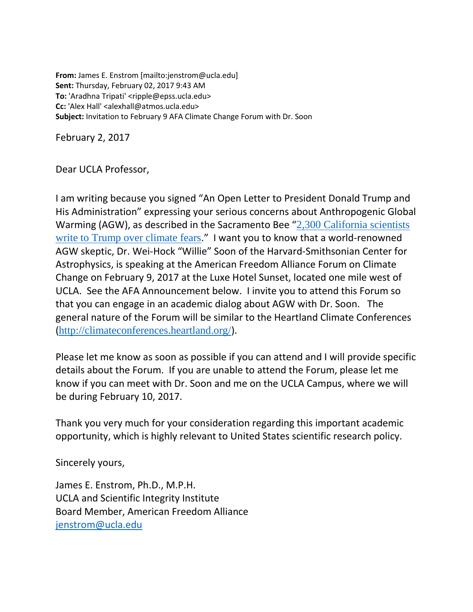**From:** James E. Enstrom [mailto:jenstrom@ucla.edu] **Sent:** Thursday, February 02, 2017 9:43 AM **To:** 'Aradhna Tripati' <ripple@epss.ucla.edu> **Cc:** 'Alex Hall' <alexhall@atmos.ucla.edu> **Subject:** Invitation to February 9 AFA Climate Change Forum with Dr. Soon

February 2, 2017

Dear UCLA Professor,

I am writing because you signed "An Open Letter to President Donald Trump and His Administration" expressing your serious concerns about Anthropogenic Global Warming (AGW), as described in the Sacramento Bee "[2,300 California scientists](http://www.sacbee.com/news/politics-government/the-state-worker/article129876834.html)  [write to Trump over climate fears](http://www.sacbee.com/news/politics-government/the-state-worker/article129876834.html)." I want you to know that a world-renowned AGW skeptic, Dr. Wei-Hock "Willie" Soon of the Harvard-Smithsonian Center for Astrophysics, is speaking at the American Freedom Alliance Forum on Climate Change on February 9, 2017 at the Luxe Hotel Sunset, located one mile west of UCLA. See the AFA Announcement below. I invite you to attend this Forum so that you can engage in an academic dialog about AGW with Dr. Soon. The general nature of the Forum will be similar to the Heartland Climate Conferences (<http://climateconferences.heartland.org/>).

Please let me know as soon as possible if you can attend and I will provide specific details about the Forum. If you are unable to attend the Forum, please let me know if you can meet with Dr. Soon and me on the UCLA Campus, where we will be during February 10, 2017.

Thank you very much for your consideration regarding this important academic opportunity, which is highly relevant to United States scientific research policy.

Sincerely yours,

James E. Enstrom, Ph.D., M.P.H. UCLA and Scientific Integrity Institute Board Member, American Freedom Alliance [jenstrom@ucla.edu](mailto:jenstrom@ucla.edu)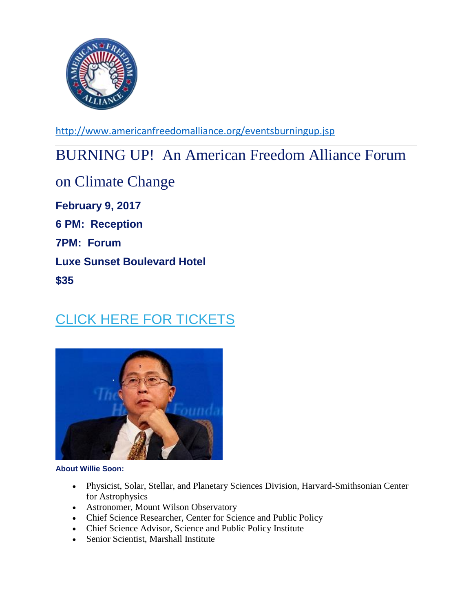

<http://www.americanfreedomalliance.org/eventsburningup.jsp>

## BURNING UP! An American Freedom Alliance Forum

on Climate Change **February 9, 2017 6 PM: Reception 7PM: Forum Luxe Sunset Boulevard Hotel \$35**

## [CLICK HERE FOR TICKETS](http://americanfreedomalliance.us12.list-manage2.com/track/click?u=cf41b595c38ff356b9d469364&id=129ecc3cf7&e=1eee3243b6)



**About Willie Soon:**

- Physicist, Solar, Stellar, and Planetary Sciences Division, Harvard-Smithsonian Center for Astrophysics
- Astronomer, Mount Wilson Observatory
- Chief Science Researcher, Center for Science and Public Policy
- Chief Science Advisor, Science and Public Policy Institute
- Senior Scientist, Marshall Institute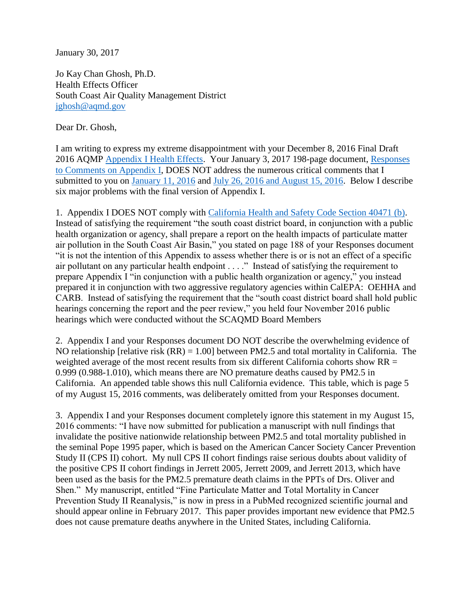January 30, 2017

Jo Kay Chan Ghosh, Ph.D. Health Effects Officer South Coast Air Quality Management District [jghosh@aqmd.gov](mailto:jghosh@aqmd.gov)

Dear Dr. Ghosh,

I am writing to express my extreme disappointment with your December 8, 2016 Final Draft 2016 AQMP [Appendix I Health Effects.](http://www.aqmd.gov/docs/default-source/clean-air-plans/air-quality-management-plans/2016-air-quality-management-plan/draft-final-aqmp/strikeout/appIdec2016.pdf?sfvrsn=6) Your January 3, 2017 198-page document, [Responses](http://www.aqmd.gov/docs/default-source/clean-air-plans/air-quality-management-plans/2016-air-quality-management-plan/response-to-comments/app1response.pdf?sfvrsn=4)  [to Comments on Appendix I,](http://www.aqmd.gov/docs/default-source/clean-air-plans/air-quality-management-plans/2016-air-quality-management-plan/response-to-comments/app1response.pdf?sfvrsn=4) DOES NOT address the numerous critical comments that I submitted to you on [January 11, 2016](http://www.scientificintegrityinstitute.org/Schwarz011116.pdf) and [July 26, 2016 and August 15, 2016.](http://www.scientificintegrityinstitute.org/AQMPJEE081516.pdf) Below I describe six major problems with the final version of Appendix I.

1. Appendix I DOES NOT comply with [California Health and Safety Code Section 40471 \(b\).](http://www.leginfo.ca.gov/cgi-bin/displaycode?section=hsc&group=40001-41000&file=40460-40471) Instead of satisfying the requirement "the south coast district board, in conjunction with a public health organization or agency, shall prepare a report on the health impacts of particulate matter air pollution in the South Coast Air Basin," you stated on page 188 of your Responses document "it is not the intention of this Appendix to assess whether there is or is not an effect of a specific air pollutant on any particular health endpoint . . . ." Instead of satisfying the requirement to prepare Appendix I "in conjunction with a public health organization or agency," you instead prepared it in conjunction with two aggressive regulatory agencies within CalEPA: OEHHA and CARB. Instead of satisfying the requirement that the "south coast district board shall hold public hearings concerning the report and the peer review," you held four November 2016 public hearings which were conducted without the SCAQMD Board Members

2. Appendix I and your Responses document DO NOT describe the overwhelming evidence of NO relationship [relative risk (RR) = 1.00] between PM2.5 and total mortality in California. The weighted average of the most recent results from six different California cohorts show RR = 0.999 (0.988-1.010), which means there are NO premature deaths caused by PM2.5 in California. An appended table shows this null California evidence. This table, which is page 5 of my August 15, 2016 comments, was deliberately omitted from your Responses document.

3. Appendix I and your Responses document completely ignore this statement in my August 15, 2016 comments: "I have now submitted for publication a manuscript with null findings that invalidate the positive nationwide relationship between PM2.5 and total mortality published in the seminal Pope 1995 paper, which is based on the American Cancer Society Cancer Prevention Study II (CPS II) cohort. My null CPS II cohort findings raise serious doubts about validity of the positive CPS II cohort findings in Jerrett 2005, Jerrett 2009, and Jerrett 2013, which have been used as the basis for the PM2.5 premature death claims in the PPTs of Drs. Oliver and Shen." My manuscript, entitled "Fine Particulate Matter and Total Mortality in Cancer Prevention Study II Reanalysis," is now in press in a PubMed recognized scientific journal and should appear online in February 2017. This paper provides important new evidence that PM2.5 does not cause premature deaths anywhere in the United States, including California.